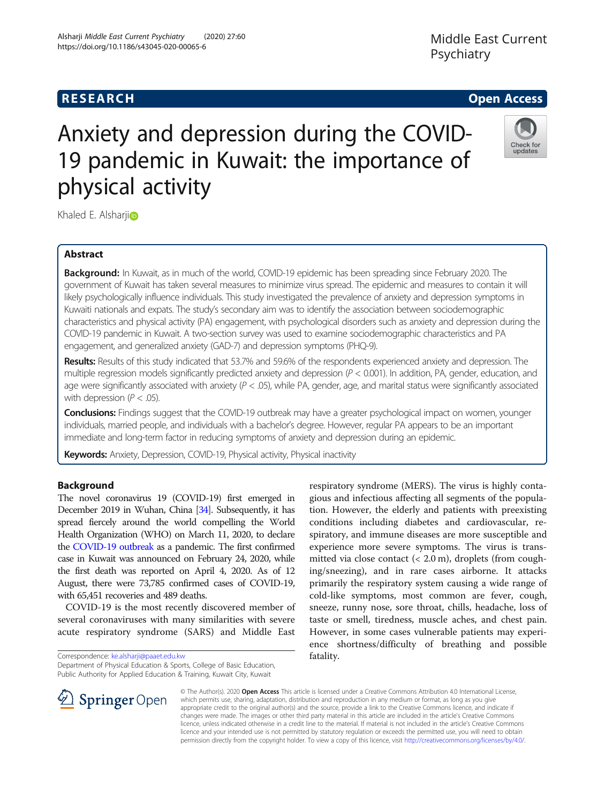# **RESEARCH CHE Open Access**

### Alsharji Middle East Current Psychiatry (2020) 27:60 https://doi.org/10.1186/s43045-020-00065-6

Middle East Current Psychiatry

# Check for updates

# Khaled E. Alsharj[i](http://orcid.org/0000-0003-1147-5442)<sup>o</sup>

physical activity

# Abstract

Background: In Kuwait, as in much of the world, COVID-19 epidemic has been spreading since February 2020. The government of Kuwait has taken several measures to minimize virus spread. The epidemic and measures to contain it will likely psychologically influence individuals. This study investigated the prevalence of anxiety and depression symptoms in Kuwaiti nationals and expats. The study's secondary aim was to identify the association between sociodemographic characteristics and physical activity (PA) engagement, with psychological disorders such as anxiety and depression during the COVID-19 pandemic in Kuwait. A two-section survey was used to examine sociodemographic characteristics and PA engagement, and generalized anxiety (GAD-7) and depression symptoms (PHQ-9).

Anxiety and depression during the COVID-

19 pandemic in Kuwait: the importance of

Results: Results of this study indicated that 53.7% and 59.6% of the respondents experienced anxiety and depression. The multiple regression models significantly predicted anxiety and depression ( $P < 0.001$ ). In addition, PA, gender, education, and age were significantly associated with anxiety  $(P < .05)$ , while PA, gender, age, and marital status were significantly associated with depression ( $P < .05$ ).

Conclusions: Findings suggest that the COVID-19 outbreak may have a greater psychological impact on women, younger individuals, married people, and individuals with a bachelor's degree. However, regular PA appears to be an important immediate and long-term factor in reducing symptoms of anxiety and depression during an epidemic.

Keywords: Anxiety, Depression, COVID-19, Physical activity, Physical inactivity

# Background

The novel coronavirus 19 (COVID-19) first emerged in December 2019 in Wuhan, China [[34\]](#page-7-0). Subsequently, it has spread fiercely around the world compelling the World Health Organization (WHO) on March 11, 2020, to declare the [COVID-19 outbreak](https://www.statnews.com/tag/coronavirus/) as a pandemic. The first confirmed case in Kuwait was announced on February 24, 2020, while the first death was reported on April 4, 2020. As of 12 August, there were 73,785 confirmed cases of COVID-19, with 65,451 recoveries and 489 deaths.

COVID-19 is the most recently discovered member of several coronaviruses with many similarities with severe acute respiratory syndrome (SARS) and Middle East

Correspondence: [ke.alsharji@paaet.edu.kw](mailto:ke.alsharji@paaet.edu.kw)

Department of Physical Education & Sports, College of Basic Education, Public Authority for Applied Education & Training, Kuwait City, Kuwait

respiratory syndrome (MERS). The virus is highly contagious and infectious affecting all segments of the population. However, the elderly and patients with preexisting conditions including diabetes and cardiovascular, respiratory, and immune diseases are more susceptible and experience more severe symptoms. The virus is transmitted via close contact (< 2.0 m), droplets (from coughing/sneezing), and in rare cases airborne. It attacks primarily the respiratory system causing a wide range of cold-like symptoms, most common are fever, cough, sneeze, runny nose, sore throat, chills, headache, loss of taste or smell, tiredness, muscle aches, and chest pain. However, in some cases vulnerable patients may experience shortness/difficulty of breathing and possible fatality.



© The Author(s). 2020 Open Access This article is licensed under a Creative Commons Attribution 4.0 International License, which permits use, sharing, adaptation, distribution and reproduction in any medium or format, as long as you give appropriate credit to the original author(s) and the source, provide a link to the Creative Commons licence, and indicate if changes were made. The images or other third party material in this article are included in the article's Creative Commons licence, unless indicated otherwise in a credit line to the material. If material is not included in the article's Creative Commons licence and your intended use is not permitted by statutory regulation or exceeds the permitted use, you will need to obtain permission directly from the copyright holder. To view a copy of this licence, visit <http://creativecommons.org/licenses/by/4.0/>.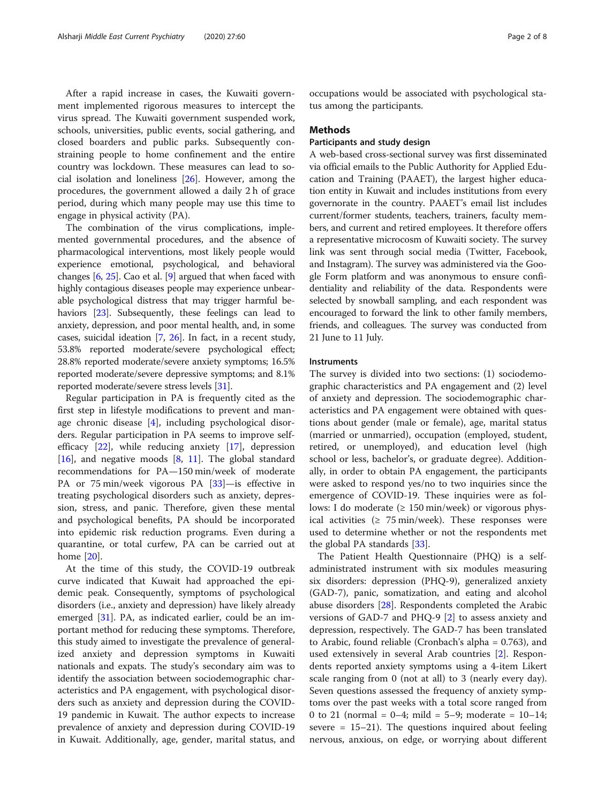After a rapid increase in cases, the Kuwaiti government implemented rigorous measures to intercept the virus spread. The Kuwaiti government suspended work, schools, universities, public events, social gathering, and closed boarders and public parks. Subsequently constraining people to home confinement and the entire country was lockdown. These measures can lead to social isolation and loneliness [\[26\]](#page-7-0). However, among the procedures, the government allowed a daily 2 h of grace period, during which many people may use this time to engage in physical activity (PA).

The combination of the virus complications, implemented governmental procedures, and the absence of pharmacological interventions, most likely people would experience emotional, psychological, and behavioral changes [\[6](#page-7-0), [25\]](#page-7-0). Cao et al. [\[9](#page-7-0)] argued that when faced with highly contagious diseases people may experience unbearable psychological distress that may trigger harmful behaviors [[23](#page-7-0)]. Subsequently, these feelings can lead to anxiety, depression, and poor mental health, and, in some cases, suicidal ideation [\[7,](#page-7-0) [26](#page-7-0)]. In fact, in a recent study, 53.8% reported moderate/severe psychological effect; 28.8% reported moderate/severe anxiety symptoms; 16.5% reported moderate/severe depressive symptoms; and 8.1% reported moderate/severe stress levels [\[31\]](#page-7-0).

Regular participation in PA is frequently cited as the first step in lifestyle modifications to prevent and manage chronic disease [\[4](#page-7-0)], including psychological disorders. Regular participation in PA seems to improve selfefficacy [\[22](#page-7-0)], while reducing anxiety [[17\]](#page-7-0), depression [[16\]](#page-7-0), and negative moods  $[8, 11]$  $[8, 11]$  $[8, 11]$ . The global standard recommendations for PA—150 min/week of moderate PA or 75 min/week vigorous PA [\[33](#page-7-0)]—is effective in treating psychological disorders such as anxiety, depression, stress, and panic. Therefore, given these mental and psychological benefits, PA should be incorporated into epidemic risk reduction programs. Even during a quarantine, or total curfew, PA can be carried out at home [[20\]](#page-7-0).

At the time of this study, the COVID-19 outbreak curve indicated that Kuwait had approached the epidemic peak. Consequently, symptoms of psychological disorders (i.e., anxiety and depression) have likely already emerged [[31\]](#page-7-0). PA, as indicated earlier, could be an important method for reducing these symptoms. Therefore, this study aimed to investigate the prevalence of generalized anxiety and depression symptoms in Kuwaiti nationals and expats. The study's secondary aim was to identify the association between sociodemographic characteristics and PA engagement, with psychological disorders such as anxiety and depression during the COVID-19 pandemic in Kuwait. The author expects to increase prevalence of anxiety and depression during COVID-19 in Kuwait. Additionally, age, gender, marital status, and

occupations would be associated with psychological status among the participants.

#### Methods

### Participants and study design

A web-based cross-sectional survey was first disseminated via official emails to the Public Authority for Applied Education and Training (PAAET), the largest higher education entity in Kuwait and includes institutions from every governorate in the country. PAAET's email list includes current/former students, teachers, trainers, faculty members, and current and retired employees. It therefore offers a representative microcosm of Kuwaiti society. The survey link was sent through social media (Twitter, Facebook, and Instagram). The survey was administered via the Google Form platform and was anonymous to ensure confidentiality and reliability of the data. Respondents were selected by snowball sampling, and each respondent was encouraged to forward the link to other family members, friends, and colleagues. The survey was conducted from 21 June to 11 July.

#### Instruments

The survey is divided into two sections: (1) sociodemographic characteristics and PA engagement and (2) level of anxiety and depression. The sociodemographic characteristics and PA engagement were obtained with questions about gender (male or female), age, marital status (married or unmarried), occupation (employed, student, retired, or unemployed), and education level (high school or less, bachelor's, or graduate degree). Additionally, in order to obtain PA engagement, the participants were asked to respond yes/no to two inquiries since the emergence of COVID-19. These inquiries were as follows: I do moderate  $(≥ 150 min/week)$  or vigorous physical activities ( $\geq 75$  min/week). These responses were used to determine whether or not the respondents met the global PA standards [[33](#page-7-0)].

The Patient Health Questionnaire (PHQ) is a selfadministrated instrument with six modules measuring six disorders: depression (PHQ-9), generalized anxiety (GAD-7), panic, somatization, and eating and alcohol abuse disorders [\[28](#page-7-0)]. Respondents completed the Arabic versions of GAD-7 and PHQ-9 [\[2](#page-6-0)] to assess anxiety and depression, respectively. The GAD-7 has been translated to Arabic, found reliable (Cronbach's alpha = 0.763), and used extensively in several Arab countries [[2](#page-6-0)]. Respondents reported anxiety symptoms using a 4-item Likert scale ranging from 0 (not at all) to 3 (nearly every day). Seven questions assessed the frequency of anxiety symptoms over the past weeks with a total score ranged from 0 to 21 (normal =  $0-4$ ; mild =  $5-9$ ; moderate =  $10-14$ ; severe  $= 15-21$ ). The questions inquired about feeling nervous, anxious, on edge, or worrying about different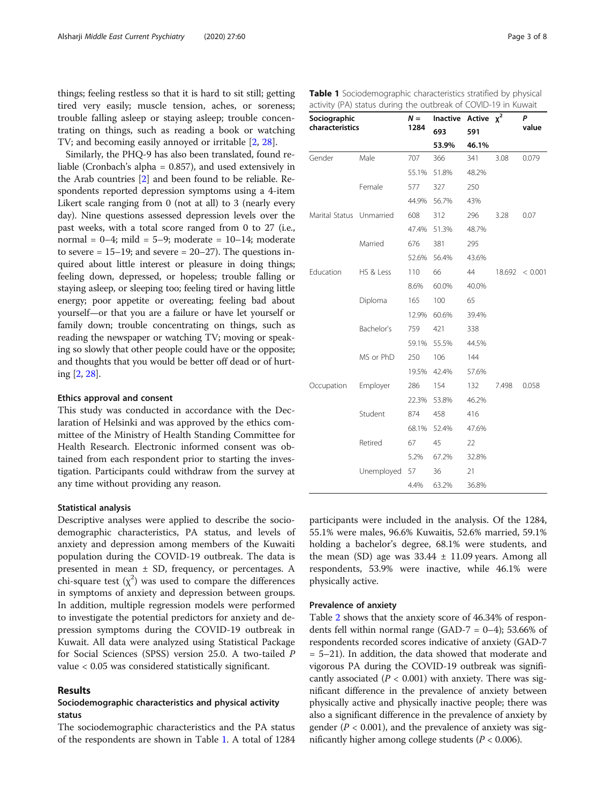<span id="page-2-0"></span>things; feeling restless so that it is hard to sit still; getting tired very easily; muscle tension, aches, or soreness; trouble falling asleep or staying asleep; trouble concentrating on things, such as reading a book or watching TV; and becoming easily annoyed or irritable [\[2](#page-6-0), [28\]](#page-7-0).

Similarly, the PHQ-9 has also been translated, found reliable (Cronbach's alpha = 0.857), and used extensively in the Arab countries [\[2](#page-6-0)] and been found to be reliable. Respondents reported depression symptoms using a 4-item Likert scale ranging from 0 (not at all) to 3 (nearly every day). Nine questions assessed depression levels over the past weeks, with a total score ranged from 0 to 27 (i.e., normal =  $0-4$ ; mild =  $5-9$ ; moderate =  $10-14$ ; moderate to severe  $= 15-19$ ; and severe  $= 20-27$ ). The questions inquired about little interest or pleasure in doing things; feeling down, depressed, or hopeless; trouble falling or staying asleep, or sleeping too; feeling tired or having little energy; poor appetite or overeating; feeling bad about yourself—or that you are a failure or have let yourself or family down; trouble concentrating on things, such as reading the newspaper or watching TV; moving or speaking so slowly that other people could have or the opposite; and thoughts that you would be better off dead or of hurting [[2,](#page-6-0) [28\]](#page-7-0).

#### Ethics approval and consent

This study was conducted in accordance with the Declaration of Helsinki and was approved by the ethics committee of the Ministry of Health Standing Committee for Health Research. Electronic informed consent was obtained from each respondent prior to starting the investigation. Participants could withdraw from the survey at any time without providing any reason.

#### Statistical analysis

Descriptive analyses were applied to describe the sociodemographic characteristics, PA status, and levels of anxiety and depression among members of the Kuwaiti population during the COVID-19 outbreak. The data is presented in mean ± SD, frequency, or percentages. A chi-square test  $(\chi^2)$  was used to compare the differences in symptoms of anxiety and depression between groups. In addition, multiple regression models were performed to investigate the potential predictors for anxiety and depression symptoms during the COVID-19 outbreak in Kuwait. All data were analyzed using Statistical Package for Social Sciences (SPSS) version 25.0. A two-tailed P value < 0.05 was considered statistically significant.

#### Results

## Sociodemographic characteristics and physical activity status

The sociodemographic characteristics and the PA status of the respondents are shown in Table 1. A total of 1284

| Gender                   | Male       | 707   | 366   | 341   | 3.08   | 0.079   |
|--------------------------|------------|-------|-------|-------|--------|---------|
|                          |            | 55.1% | 51.8% | 48.2% |        |         |
|                          | Female     | 577   | 327   | 250   |        |         |
|                          |            | 44.9% | 56.7% | 43%   |        |         |
| Marital Status Unmarried |            | 608   | 312   | 296   | 3.28   | 0.07    |
|                          |            | 47.4% | 51.3% | 48.7% |        |         |
|                          | Married    | 676   | 381   | 295   |        |         |
|                          |            | 52.6% | 56.4% | 43.6% |        |         |
| Education                | HS & Less  | 110   | 66    | 44    | 18.692 | < 0.001 |
|                          |            | 8.6%  | 60.0% | 40.0% |        |         |
|                          | Diploma    | 165   | 100   | 65    |        |         |
|                          |            | 12.9% | 60.6% | 39.4% |        |         |
|                          | Bachelor's | 759   | 421   | 338   |        |         |
|                          |            | 59.1% | 55.5% | 44.5% |        |         |
|                          | MS or PhD  | 250   | 106   | 144   |        |         |
|                          |            | 19.5% | 42.4% | 57.6% |        |         |
| Occupation               | Employer   | 286   | 154   | 132   | 7.498  | 0.058   |
|                          |            | 22.3% | 53.8% | 46.2% |        |         |
|                          | Student    | 874   | 458   | 416   |        |         |
|                          |            | 68.1% | 52.4% | 47.6% |        |         |
|                          | Retired    | 67    | 45    | 22    |        |         |
|                          |            | 5.2%  | 67.2% | 32.8% |        |         |
|                          | Unemployed | 57    | 36    | 21    |        |         |

participants were included in the analysis. Of the 1284, 55.1% were males, 96.6% Kuwaitis, 52.6% married, 59.1% holding a bachelor's degree, 68.1% were students, and the mean (SD) age was  $33.44 \pm 11.09$  years. Among all respondents, 53.9% were inactive, while 46.1% were physically active.

4.4% 63.2% 36.8%

#### Prevalence of anxiety

Table [2](#page-3-0) shows that the anxiety score of 46.34% of respondents fell within normal range (GAD-7 =  $0-4$ ); 53.66% of respondents recorded scores indicative of anxiety (GAD-7 = 5–21). In addition, the data showed that moderate and vigorous PA during the COVID-19 outbreak was significantly associated ( $P < 0.001$ ) with anxiety. There was significant difference in the prevalence of anxiety between physically active and physically inactive people; there was also a significant difference in the prevalence of anxiety by gender ( $P < 0.001$ ), and the prevalence of anxiety was significantly higher among college students ( $P < 0.006$ ).

Inactive Active  $\chi^2$  *P*<br>  $\chi^2$  value value 693 591

53.9% 46.1%

|  |  | Table 1 Sociodemographic characteristics stratified by physical |  |  |
|--|--|-----------------------------------------------------------------|--|--|
|  |  | activity (PA) status during the outbreak of COVID-19 in Kuwait  |  |  |

 $N =$ 1284

Sociographic characteristics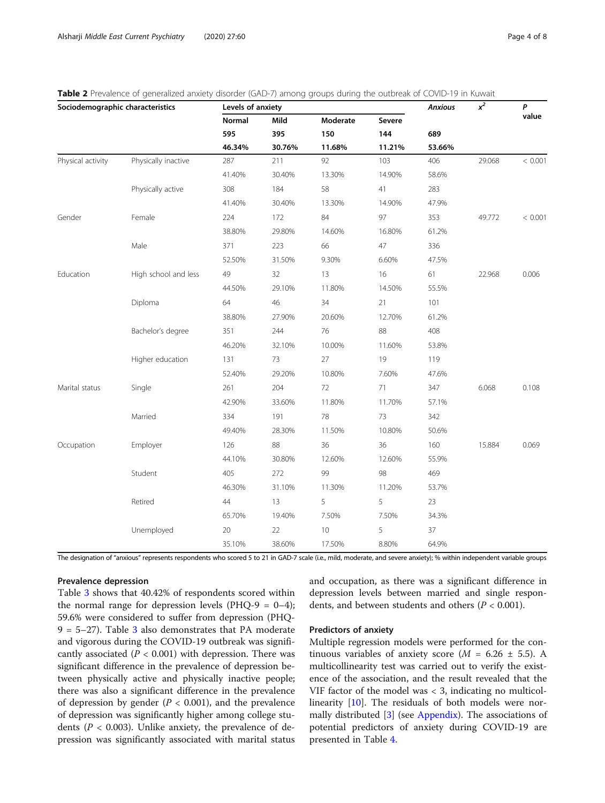<span id="page-3-0"></span>Table 2 Prevalence of generalized anxiety disorder (GAD-7) among groups during the outbreak of COVID-19 in Kuwait

| Sociodemographic characteristics |                      | Levels of anxiety |        | <b>Anxious</b> | $x^2$  | P      |        |         |
|----------------------------------|----------------------|-------------------|--------|----------------|--------|--------|--------|---------|
|                                  |                      | Normal            | Mild   | Moderate       | Severe |        |        | value   |
|                                  |                      | 595               | 395    | 150            | 144    | 689    |        |         |
|                                  |                      | 46.34%            | 30.76% | 11.68%         | 11.21% | 53.66% |        |         |
| Physical activity                | Physically inactive  | 287               | 211    | 92             | 103    | 406    | 29.068 | < 0.001 |
|                                  |                      | 41.40%            | 30.40% | 13.30%         | 14.90% | 58.6%  |        |         |
|                                  | Physically active    | 308               | 184    | 58             | 41     | 283    |        |         |
|                                  |                      | 41.40%            | 30.40% | 13.30%         | 14.90% | 47.9%  |        |         |
| Gender                           | Female               | 224               | 172    | 84             | 97     | 353    | 49.772 | < 0.001 |
|                                  |                      | 38.80%            | 29.80% | 14.60%         | 16.80% | 61.2%  |        |         |
|                                  | Male                 | 371               | 223    | 66             | 47     | 336    |        |         |
|                                  |                      | 52.50%            | 31.50% | 9.30%          | 6.60%  | 47.5%  |        |         |
| Education                        | High school and less | 49                | 32     | 13             | 16     | 61     | 22.968 | 0.006   |
|                                  |                      | 44.50%            | 29.10% | 11.80%         | 14.50% | 55.5%  |        |         |
|                                  | Diploma              | 64                | 46     | 34             | 21     | 101    |        |         |
|                                  |                      | 38.80%            | 27.90% | 20.60%         | 12.70% | 61.2%  |        |         |
|                                  | Bachelor's degree    | 351               | 244    | 76             | 88     | 408    |        |         |
|                                  |                      | 46.20%            | 32.10% | 10.00%         | 11.60% | 53.8%  |        |         |
|                                  | Higher education     | 131               | 73     | 27             | 19     | 119    |        |         |
|                                  |                      | 52.40%            | 29.20% | 10.80%         | 7.60%  | 47.6%  |        |         |
| Marital status                   | Single               | 261               | 204    | 72             | 71     | 347    | 6.068  | 0.108   |
|                                  |                      | 42.90%            | 33.60% | 11.80%         | 11.70% | 57.1%  |        |         |
|                                  | Married              | 334               | 191    | 78             | 73     | 342    |        |         |
|                                  |                      | 49.40%            | 28.30% | 11.50%         | 10.80% | 50.6%  |        |         |
| Occupation                       | Employer             | 126               | 88     | 36             | 36     | 160    | 15.884 | 0.069   |
|                                  |                      | 44.10%            | 30.80% | 12.60%         | 12.60% | 55.9%  |        |         |
|                                  | Student              | 405               | 272    | 99             | 98     | 469    |        |         |
|                                  |                      | 46.30%            | 31.10% | 11.30%         | 11.20% | 53.7%  |        |         |
|                                  | Retired              | 44                | 13     | 5              | 5      | 23     |        |         |
|                                  |                      | 65.70%            | 19.40% | 7.50%          | 7.50%  | 34.3%  |        |         |
|                                  | Unemployed           | 20                | 22     | 10             | 5      | 37     |        |         |
|                                  |                      | 35.10%            | 38.60% | 17.50%         | 8.80%  | 64.9%  |        |         |

The designation of "anxious" represents respondents who scored 5 to 21 in GAD-7 scale (i.e., mild, moderate, and severe anxiety); % within independent variable groups

### Prevalence depression

Table [3](#page-4-0) shows that 40.42% of respondents scored within the normal range for depression levels (PHQ-9 =  $0-4$ ); 59.6% were considered to suffer from depression (PHQ- $9 = 5-27$ ). Table [3](#page-4-0) also demonstrates that PA moderate and vigorous during the COVID-19 outbreak was significantly associated ( $P < 0.001$ ) with depression. There was significant difference in the prevalence of depression between physically active and physically inactive people; there was also a significant difference in the prevalence of depression by gender ( $P < 0.001$ ), and the prevalence of depression was significantly higher among college students ( $P < 0.003$ ). Unlike anxiety, the prevalence of depression was significantly associated with marital status and occupation, as there was a significant difference in depression levels between married and single respondents, and between students and others ( $P < 0.001$ ).

#### Predictors of anxiety

Multiple regression models were performed for the continuous variables of anxiety score ( $M = 6.26 \pm 5.5$ ). A multicollinearity test was carried out to verify the existence of the association, and the result revealed that the VIF factor of the model was < 3, indicating no multicollinearity [[10\]](#page-7-0). The residuals of both models were normally distributed [[3\]](#page-7-0) (see [Appendix\)](#page-6-0). The associations of potential predictors of anxiety during COVID-19 are presented in Table [4](#page-5-0).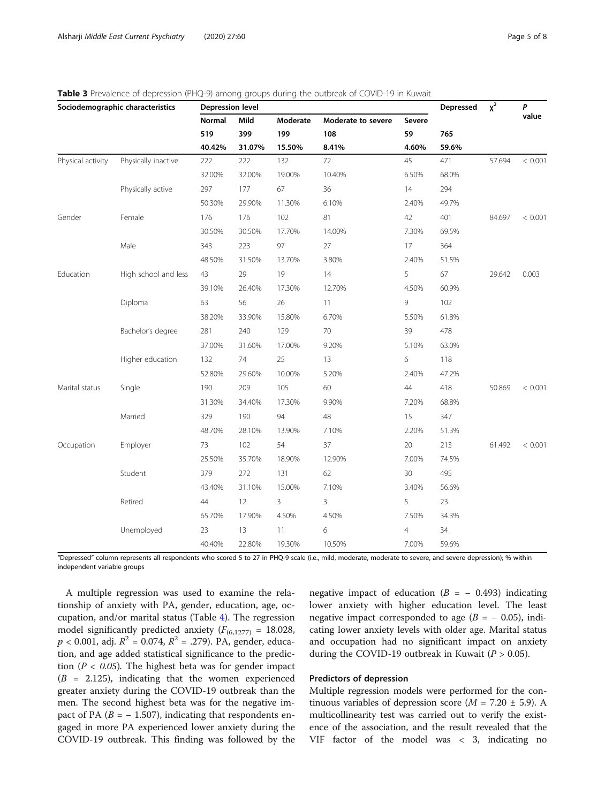<span id="page-4-0"></span>

|  | Table 3 Prevalence of depression (PHQ-9) among groups during the outbreak of COVID-19 in Kuwait |
|--|-------------------------------------------------------------------------------------------------|
|  |                                                                                                 |

| Sociodemographic characteristics |                      | Depression level |        |          |                    |                | Depressed | $x^2$  | P       |
|----------------------------------|----------------------|------------------|--------|----------|--------------------|----------------|-----------|--------|---------|
|                                  |                      | Normal           | Mild   | Moderate | Moderate to severe | Severe         |           |        | value   |
|                                  |                      | 519              | 399    | 199      | 108                | 59             | 765       |        |         |
|                                  |                      | 40.42%           | 31.07% | 15.50%   | 8.41%              | 4.60%          | 59.6%     |        |         |
| Physical activity                | Physically inactive  | 222              | 222    | 132      | 72                 | 45             | 471       | 57.694 | < 0.001 |
|                                  |                      | 32.00%           | 32.00% | 19.00%   | 10.40%             | 6.50%          | 68.0%     |        |         |
|                                  | Physically active    | 297              | 177    | 67       | 36                 | 14             | 294       |        |         |
|                                  |                      | 50.30%           | 29.90% | 11.30%   | 6.10%              | 2.40%          | 49.7%     |        |         |
| Gender                           | Female               | 176              | 176    | 102      | 81                 | 42             | 401       | 84.697 | < 0.001 |
|                                  |                      | 30.50%           | 30.50% | 17.70%   | 14.00%             | 7.30%          | 69.5%     |        |         |
|                                  | Male                 | 343              | 223    | 97       | 27                 | 17             | 364       |        |         |
|                                  |                      | 48.50%           | 31.50% | 13.70%   | 3.80%              | 2.40%          | 51.5%     |        |         |
| Education                        | High school and less | 43               | 29     | 19       | 14                 | 5              | 67        | 29.642 | 0.003   |
|                                  |                      | 39.10%           | 26.40% | 17.30%   | 12.70%             | 4.50%          | 60.9%     |        |         |
|                                  | Diploma              | 63               | 56     | 26       | 11                 | 9              | 102       |        |         |
|                                  |                      | 38.20%           | 33.90% | 15.80%   | 6.70%              | 5.50%          | 61.8%     |        |         |
|                                  | Bachelor's degree    | 281              | 240    | 129      | 70                 | 39             | 478       |        |         |
|                                  |                      | 37.00%           | 31.60% | 17.00%   | 9.20%              | 5.10%          | 63.0%     |        |         |
|                                  | Higher education     | 132              | 74     | 25       | 13                 | 6              | 118       |        |         |
|                                  |                      | 52.80%           | 29.60% | 10.00%   | 5.20%              | 2.40%          | 47.2%     |        |         |
| Marital status                   | Single               | 190              | 209    | 105      | 60                 | 44             | 418       | 50.869 | < 0.001 |
|                                  |                      | 31.30%           | 34.40% | 17.30%   | 9.90%              | 7.20%          | 68.8%     |        |         |
|                                  | Married              | 329              | 190    | 94       | 48                 | 15             | 347       |        |         |
|                                  |                      | 48.70%           | 28.10% | 13.90%   | 7.10%              | 2.20%          | 51.3%     |        |         |
| Occupation                       | Employer             | 73               | 102    | 54       | 37                 | 20             | 213       | 61.492 | < 0.001 |
|                                  |                      | 25.50%           | 35.70% | 18.90%   | 12.90%             | 7.00%          | 74.5%     |        |         |
|                                  | Student              | 379              | 272    | 131      | 62                 | 30             | 495       |        |         |
|                                  |                      | 43.40%           | 31.10% | 15.00%   | 7.10%              | 3.40%          | 56.6%     |        |         |
|                                  | Retired              | 44               | 12     | 3        | 3                  | 5              | 23        |        |         |
|                                  |                      | 65.70%           | 17.90% | 4.50%    | 4.50%              | 7.50%          | 34.3%     |        |         |
|                                  | Unemployed           | 23               | 13     | 11       | 6                  | $\overline{4}$ | 34        |        |         |
|                                  |                      | 40.40%           | 22.80% | 19.30%   | 10.50%             | 7.00%          | 59.6%     |        |         |

"Depressed" column represents all respondents who scored 5 to 27 in PHQ-9 scale (i.e., mild, moderate, moderate to severe, and severe depression); % within independent variable groups

A multiple regression was used to examine the relationship of anxiety with PA, gender, education, age, occupation, and/or marital status (Table [4](#page-5-0)). The regression model significantly predicted anxiety ( $F_{(6,1277)} = 18.028$ ,  $p < 0.001$ , adj.  $R^2 = 0.074$ ,  $R^2 = .279$ ). PA, gender, education, and age added statistical significance to the prediction ( $P < 0.05$ ). The highest beta was for gender impact  $(B = 2.125)$ , indicating that the women experienced greater anxiety during the COVID-19 outbreak than the men. The second highest beta was for the negative impact of PA ( $B = -1.507$ ), indicating that respondents engaged in more PA experienced lower anxiety during the COVID-19 outbreak. This finding was followed by the

negative impact of education  $(B = -0.493)$  indicating lower anxiety with higher education level. The least negative impact corresponded to age  $(B = -0.05)$ , indicating lower anxiety levels with older age. Marital status and occupation had no significant impact on anxiety during the COVID-19 outbreak in Kuwait ( $P > 0.05$ ).

#### Predictors of depression

Multiple regression models were performed for the continuous variables of depression score ( $M = 7.20 \pm 5.9$ ). A multicollinearity test was carried out to verify the existence of the association, and the result revealed that the VIF factor of the model was < 3, indicating no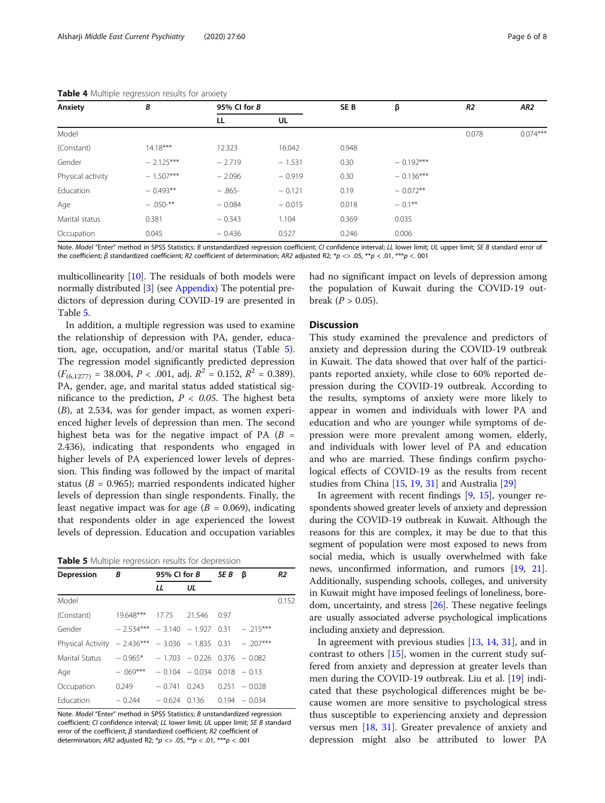| Anxiety           | В                     | 95% CI for B |          | SE <sub>B</sub> | β           | R <sub>2</sub> | AR <sub>2</sub> |
|-------------------|-----------------------|--------------|----------|-----------------|-------------|----------------|-----------------|
|                   |                       | LL           | UL       |                 |             |                |                 |
| Model             |                       |              |          |                 |             | 0.078          | $0.074***$      |
| (Constant)        | $14.18***$            | 12.323       | 16.042   | 0.948           |             |                |                 |
| Gender            | $-2.125***$           | $-2.719$     | $-1.531$ | 0.30            | $-0.192***$ |                |                 |
| Physical activity | $-1.507***$           | $-2.096$     | $-0.919$ | 0.30            | $-0.136***$ |                |                 |
| Education         | $-0.493**$            | $-.865-$     | $-0.121$ | 0.19            | $-0.072**$  |                |                 |
| Age               | $-.050$ <sup>**</sup> | $-0.084$     | $-0.015$ | 0.018           | $-0.1***$   |                |                 |
| Marital status    | 0.381                 | $-0.343$     | 1.104    | 0.369           | 0.035       |                |                 |
| Occupation        | 0.045                 | $-0.436$     | 0.527    | 0.246           | 0.006       |                |                 |

<span id="page-5-0"></span>Table 4 Multiple regression results for anxiety

Note. Model "Enter" method in SPSS Statistics; B unstandardized regression coefficient; CI confidence interval; LL lower limit; UL upper limit; SE B standard error of the coefficient; β standardized coefficient; R2 coefficient of determination; AR2 adjusted R2; \*p <> .05, \*\*p < .01, \*\*\*p < .001

multicollinearity [[10\]](#page-7-0). The residuals of both models were normally distributed [[3\]](#page-7-0) (see [Appendix\)](#page-6-0) The potential predictors of depression during COVID-19 are presented in Table 5.

In addition, a multiple regression was used to examine the relationship of depression with PA, gender, education, age, occupation, and/or marital status (Table 5). The regression model significantly predicted depression  $(F_{(6,1277)} = 38.004, P < .001, \text{ adj. } R^2 = 0.152, R^2 = 0.389).$ PA, gender, age, and marital status added statistical significance to the prediction,  $P < 0.05$ . The highest beta (B), at 2.534, was for gender impact, as women experienced higher levels of depression than men. The second highest beta was for the negative impact of PA  $(B =$ 2.436), indicating that respondents who engaged in higher levels of PA experienced lower levels of depression. This finding was followed by the impact of marital status ( $B = 0.965$ ); married respondents indicated higher levels of depression than single respondents. Finally, the least negative impact was for age ( $B = 0.069$ ), indicating that respondents older in age experienced the lowest levels of depression. Education and occupation variables

Table 5 Multiple regression results for depression

| <b>Depression</b>                                          | В                                            | 95% CI for $B$ |                               | SE B | ß               | R2    |
|------------------------------------------------------------|----------------------------------------------|----------------|-------------------------------|------|-----------------|-------|
|                                                            |                                              | LL             | UL                            |      |                 |       |
| Model                                                      |                                              |                |                               |      |                 | 0.152 |
| (Constant)                                                 | 19.648***                                    | 17.75          | 21.546                        | 0.97 |                 |       |
| Gender                                                     | $-2.534***$ $-3.140$ $-1.927$ 0.31 $-215***$ |                |                               |      |                 |       |
| Physical Activity $-2.436*** -3.036 -1.835 0.31 -0.207***$ |                                              |                |                               |      |                 |       |
| Marital Status                                             | $-0.965* -1.703 -0.226 0.376 -0.082$         |                |                               |      |                 |       |
| Age                                                        | $-.069***$                                   |                | $-0.104 - 0.034 0.018 - 0.13$ |      |                 |       |
| Occupation                                                 | 0.249                                        | $-0.741$       | 0.243                         |      | $0.251 - 0.028$ |       |
| Education                                                  | $-0.244$                                     | $-0.624$       | 0.136                         |      | $0.194 - 0.034$ |       |

Note. Model "Enter" method in SPSS Statistics; B unstandardized regression coefficient; CI confidence interval; LL lower limit; UL upper limit; SE B standard error of the coefficient; β standardized coefficient; R2 coefficient of determination; AR2 adjusted R2;  $*p \ll 0.05$ ,  $**p \ll 0.01$ ,  $***p \ll 0.001$ 

had no significant impact on levels of depression among the population of Kuwait during the COVID-19 outbreak  $(P > 0.05)$ .

#### **Discussion**

This study examined the prevalence and predictors of anxiety and depression during the COVID-19 outbreak in Kuwait. The data showed that over half of the participants reported anxiety, while close to 60% reported depression during the COVID-19 outbreak. According to the results, symptoms of anxiety were more likely to appear in women and individuals with lower PA and education and who are younger while symptoms of depression were more prevalent among women, elderly, and individuals with lower level of PA and education and who are married. These findings confirm psychological effects of COVID-19 as the results from recent studies from China [\[15,](#page-7-0) [19,](#page-7-0) [31\]](#page-7-0) and Australia [[29\]](#page-7-0)

In agreement with recent findings [[9,](#page-7-0) [15](#page-7-0)], younger respondents showed greater levels of anxiety and depression during the COVID-19 outbreak in Kuwait. Although the reasons for this are complex, it may be due to that this segment of population were most exposed to news from social media, which is usually overwhelmed with fake news, unconfirmed information, and rumors [[19,](#page-7-0) [21](#page-7-0)]. Additionally, suspending schools, colleges, and university in Kuwait might have imposed feelings of loneliness, boredom, uncertainty, and stress [\[26](#page-7-0)]. These negative feelings are usually associated adverse psychological implications including anxiety and depression.

In agreement with previous studies [[13,](#page-7-0) [14,](#page-7-0) [31\]](#page-7-0), and in contrast to others  $[15]$  $[15]$ , women in the current study suffered from anxiety and depression at greater levels than men during the COVID-19 outbreak. Liu et al. [\[19](#page-7-0)] indicated that these psychological differences might be because women are more sensitive to psychological stress thus susceptible to experiencing anxiety and depression versus men [[18,](#page-7-0) [31\]](#page-7-0). Greater prevalence of anxiety and depression might also be attributed to lower PA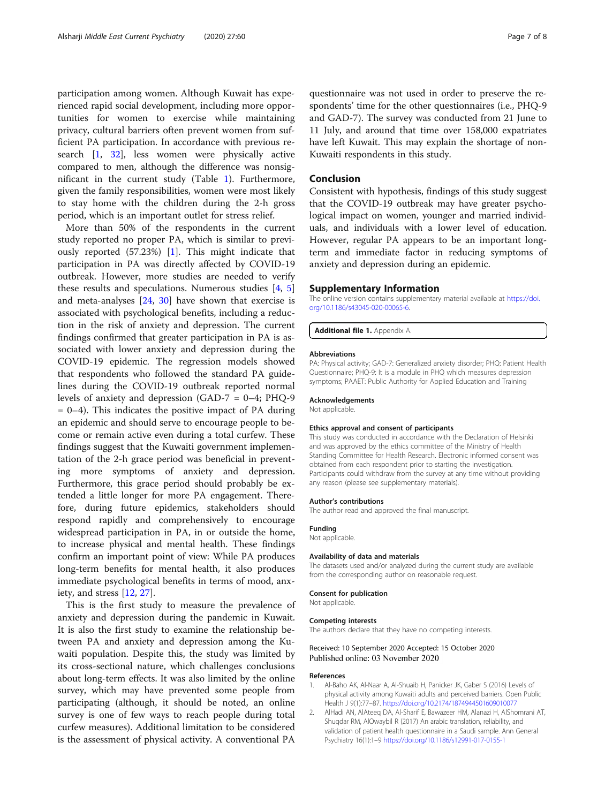<span id="page-6-0"></span>participation among women. Although Kuwait has experienced rapid social development, including more opportunities for women to exercise while maintaining privacy, cultural barriers often prevent women from sufficient PA participation. In accordance with previous research [1, [32\]](#page-7-0), less women were physically active compared to men, although the difference was nonsignificant in the current study (Table [1](#page-2-0)). Furthermore, given the family responsibilities, women were most likely to stay home with the children during the 2-h gross period, which is an important outlet for stress relief.

More than 50% of the respondents in the current study reported no proper PA, which is similar to previously reported (57.23%) [1]. This might indicate that participation in PA was directly affected by COVID-19 outbreak. However, more studies are needed to verify these results and speculations. Numerous studies [\[4](#page-7-0), [5](#page-7-0)] and meta-analyses [\[24](#page-7-0), [30](#page-7-0)] have shown that exercise is associated with psychological benefits, including a reduction in the risk of anxiety and depression. The current findings confirmed that greater participation in PA is associated with lower anxiety and depression during the COVID-19 epidemic. The regression models showed that respondents who followed the standard PA guidelines during the COVID-19 outbreak reported normal levels of anxiety and depression (GAD-7 = 0–4; PHQ-9  $= 0-4$ ). This indicates the positive impact of PA during an epidemic and should serve to encourage people to become or remain active even during a total curfew. These findings suggest that the Kuwaiti government implementation of the 2-h grace period was beneficial in preventing more symptoms of anxiety and depression. Furthermore, this grace period should probably be extended a little longer for more PA engagement. Therefore, during future epidemics, stakeholders should respond rapidly and comprehensively to encourage widespread participation in PA, in or outside the home, to increase physical and mental health. These findings confirm an important point of view: While PA produces long-term benefits for mental health, it also produces immediate psychological benefits in terms of mood, anxiety, and stress [[12,](#page-7-0) [27\]](#page-7-0).

This is the first study to measure the prevalence of anxiety and depression during the pandemic in Kuwait. It is also the first study to examine the relationship between PA and anxiety and depression among the Kuwaiti population. Despite this, the study was limited by its cross-sectional nature, which challenges conclusions about long-term effects. It was also limited by the online survey, which may have prevented some people from participating (although, it should be noted, an online survey is one of few ways to reach people during total curfew measures). Additional limitation to be considered is the assessment of physical activity. A conventional PA questionnaire was not used in order to preserve the respondents' time for the other questionnaires (i.e., PHQ-9 and GAD-7). The survey was conducted from 21 June to 11 July, and around that time over 158,000 expatriates have left Kuwait. This may explain the shortage of non-Kuwaiti respondents in this study.

#### Conclusion

Consistent with hypothesis, findings of this study suggest that the COVID-19 outbreak may have greater psychological impact on women, younger and married individuals, and individuals with a lower level of education. However, regular PA appears to be an important longterm and immediate factor in reducing symptoms of anxiety and depression during an epidemic.

#### Supplementary Information

The online version contains supplementary material available at [https://doi.](https://doi.org/10.1186/s43045-020-00065-6) [org/10.1186/s43045-020-00065-6.](https://doi.org/10.1186/s43045-020-00065-6)

Additional file 1. Appendix A.

#### Abbreviations

PA: Physical activity; GAD-7: Generalized anxiety disorder; PHQ: Patient Health Questionnaire; PHQ-9: It is a module in PHQ which measures depression symptoms; PAAET: Public Authority for Applied Education and Training

#### Acknowledgements

Not applicable.

#### Ethics approval and consent of participants

This study was conducted in accordance with the Declaration of Helsinki and was approved by the ethics committee of the Ministry of Health Standing Committee for Health Research. Electronic informed consent was obtained from each respondent prior to starting the investigation. Participants could withdraw from the survey at any time without providing any reason (please see supplementary materials).

#### Author's contributions

The author read and approved the final manuscript.

#### Funding

Not applicable.

#### Availability of data and materials

The datasets used and/or analyzed during the current study are available from the corresponding author on reasonable request.

#### Consent for publication

Not applicable.

#### Competing interests

The authors declare that they have no competing interests.

#### Received: 10 September 2020 Accepted: 15 October 2020 Published online: 03 November 2020

#### References

- 1. Al-Baho AK, Al-Naar A, Al-Shuaib H, Panicker JK, Gaber S (2016) Levels of physical activity among Kuwaiti adults and perceived barriers. Open Public Health J 9(1):77–87. <https://doi.org/10.2174/1874944501609010077>
- 2. AlHadi AN, AlAteeq DA, Al-Sharif E, Bawazeer HM, Alanazi H, AlShomrani AT, Shuqdar RM, AlOwaybil R (2017) An arabic translation, reliability, and validation of patient health questionnaire in a Saudi sample. Ann General Psychiatry 16(1):1–9 <https://doi.org/10.1186/s12991-017-0155-1>